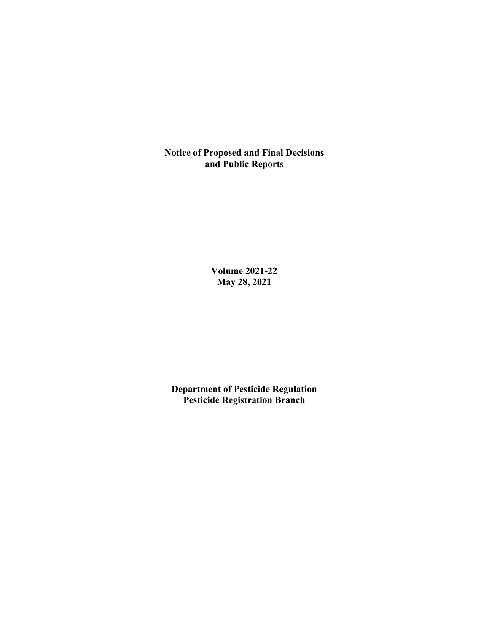**Notice of Proposed and Final Decisions and Public Reports**

> **Volume 2021-22 May 28, 2021**

**Department of Pesticide Regulation Pesticide Registration Branch**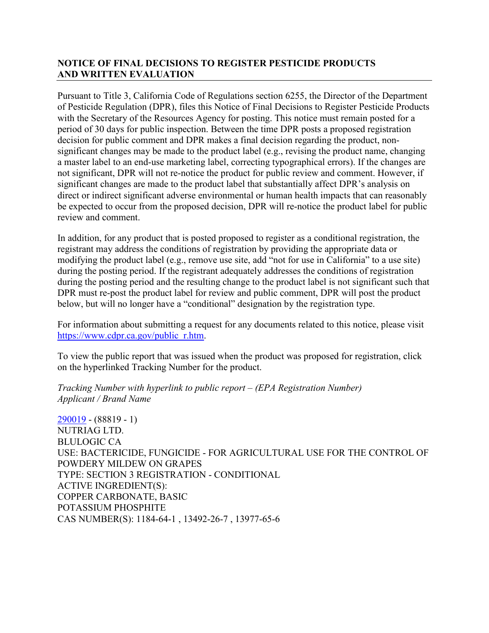# **NOTICE OF FINAL DECISIONS TO REGISTER PESTICIDE PRODUCTS AND WRITTEN EVALUATION**

Pursuant to Title 3, California Code of Regulations section 6255, the Director of the Department of Pesticide Regulation (DPR), files this Notice of Final Decisions to Register Pesticide Products with the Secretary of the Resources Agency for posting. This notice must remain posted for a period of 30 days for public inspection. Between the time DPR posts a proposed registration decision for public comment and DPR makes a final decision regarding the product, nonsignificant changes may be made to the product label (e.g., revising the product name, changing a master label to an end-use marketing label, correcting typographical errors). If the changes are not significant, DPR will not re-notice the product for public review and comment. However, if significant changes are made to the product label that substantially affect DPR's analysis on direct or indirect significant adverse environmental or human health impacts that can reasonably be expected to occur from the proposed decision, DPR will re-notice the product label for public review and comment.

In addition, for any product that is posted proposed to register as a conditional registration, the registrant may address the conditions of registration by providing the appropriate data or modifying the product label (e.g., remove use site, add "not for use in California" to a use site) during the posting period. If the registrant adequately addresses the conditions of registration during the posting period and the resulting change to the product label is not significant such that DPR must re-post the product label for review and public comment, DPR will post the product below, but will no longer have a "conditional" designation by the registration type.

For information about submitting a request for any documents related to this notice, please visit [https://www.cdpr.ca.gov/public\\_r.htm.](https://www.cdpr.ca.gov/public_r.htm)

To view the public report that was issued when the product was proposed for registration, click on the hyperlinked Tracking Number for the product.

*Tracking Number with hyperlink to public report – (EPA Registration Number) Applicant / Brand Name*

[290019](https://www.cdpr.ca.gov/docs/registration/nod/public_reports/290019.pdf) - (88819 - 1) NUTRIAG LTD. BLULOGIC CA USE: BACTERICIDE, FUNGICIDE - FOR AGRICULTURAL USE FOR THE CONTROL OF POWDERY MILDEW ON GRAPES TYPE: SECTION 3 REGISTRATION - CONDITIONAL ACTIVE INGREDIENT(S): COPPER CARBONATE, BASIC POTASSIUM PHOSPHITE CAS NUMBER(S): 1184-64-1 , 13492-26-7 , 13977-65-6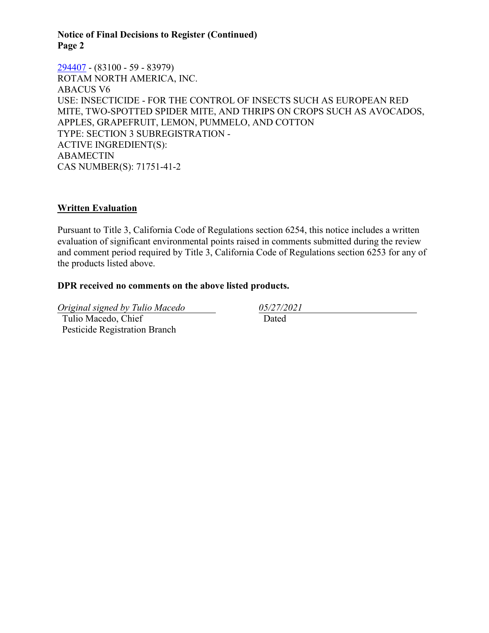### **Notice of Final Decisions to Register (Continued) Page 2**

[294407](https://www.cdpr.ca.gov/docs/registration/nod/public_reports/294407.pdf) - (83100 - 59 - 83979) ROTAM NORTH AMERICA, INC. ABACUS V6 USE: INSECTICIDE - FOR THE CONTROL OF INSECTS SUCH AS EUROPEAN RED MITE, TWO-SPOTTED SPIDER MITE, AND THRIPS ON CROPS SUCH AS AVOCADOS, APPLES, GRAPEFRUIT, LEMON, PUMMELO, AND COTTON TYPE: SECTION 3 SUBREGISTRATION - ACTIVE INGREDIENT(S): ABAMECTIN CAS NUMBER(S): 71751-41-2

## **Written Evaluation**

Pursuant to Title 3, California Code of Regulations section 6254, this notice includes a written evaluation of significant environmental points raised in comments submitted during the review and comment period required by Title 3, California Code of Regulations section 6253 for any of the products listed above.

## **DPR received no comments on the above listed products.**

*Original signed by Tulio Macedo 05/27/2021* Tulio Macedo, Chief Pesticide Registration Branch

Dated